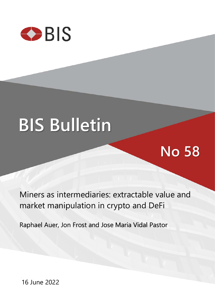

# **BIS Bulletin**

## **No 58**

Miners as intermediaries: extractable value and market manipulation in crypto and DeFi

Raphael Auer, Jon Frost and Jose Maria Vidal Pastor

16 June 2022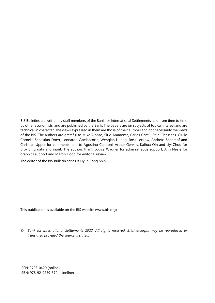BIS Bulletins are written by staff members of the Bank for International Settlements, and from time to time by other economists, and are published by the Bank. The papers are on subjects of topical interest and are technical in character. The views expressed in them are those of their authors and not necessarily the views of the BIS. The authors are grateful to Mike Alonso, Sirio Aramonte, Carlos Cantú, Stijn Claessens, Giulio Cornelli, Sebastian Doerr, Leonardo Gambacorta, Wenqian Huang, Ross Leckow, Andreas Schrimpf and Christian Upper for comments, and to Agostino Capponi, Arthur Gervais, Kaihua Qin and Liyi Zhou for providing data and input. The authors thank Louisa Wagner for administrative support, Ann Neale for graphics support and Martin Hood for editorial review.

The editor of the BIS Bulletin series is Hyun Song Shin.

This publication is available on the BIS website [\(www.bis.org\)](http://www.bis.org/).

*© Bank for International Settlements 2022. All rights reserved. Brief excerpts may be reproduced or translated provided the source is stated.*

ISSN: 2708-0420 (online) ISBN: 978-92-9259-579-1 (online)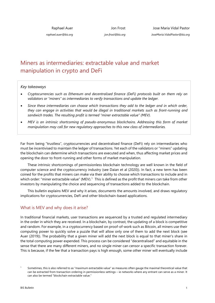*raphael.auer@bis.org*

Jon Frost *jon.frost@bis.org*

### Miners as intermediaries: extractable value and market manipulation in crypto and DeFi

#### *Key takeaways*

- *Cryptocurrencies such as Ethereum and decentralised finance (DeFi) protocols built on them rely on validators or "miners" as intermediaries to verify transactions and update the ledger.*
- *Since these intermediaries can choose which transactions they add to the ledger and in which order, they can engage in activities that would be illegal in traditional markets such as front-running and sandwich trades. The resulting profit is termed "miner extractable value" (MEV).*
- *MEV is an intrinsic shortcoming of pseudo-anonymous blockchains. Addressing this form of market manipulation may call for new regulatory approaches to this new class of intermediaries.*

Far from being "trustless", cryptocurrencies and decentralised finance (DeFi) rely on intermediaries who must be incentivised to maintain the ledger of transactions. Yet each of the validators or "miners" updating the blockchain can determine which transactions are executed and when, thus affecting market prices and opening the door to front-running and other forms of market manipulation.

These intrinsic shortcomings of permissionless blockchain technology are well known in the field of computer science and the cryptocurrency industry (see Daian et al (2020)). In fact, a new term has been coined for the profits that miners can make via their ability to choose which transactions to include and in which order: "miner extractable value" (MEV).<sup>1</sup> This is defined as the profit that miners can take from other investors by manipulating the choice and sequencing of transactions added to the blockchain.

This bulletin explains MEV and why it arises, documents the amounts involved, and draws regulatory implications for cryptocurrencies, DeFi and other blockchain-based applications.

#### What is MEV and why does it arise?

In traditional financial markets, user transactions are sequenced by a trusted and regulated intermediary in the order in which they are received. In a blockchain, by contrast, the updating of a block is competitive and random. For example, in a cryptocurrency based on proof-of-work such as Bitcoin, all miners use their computing power to quickly solve a puzzle that will allow only one of them to add the next block (see Auer (2019)). The probability that a given miner will add the next block is equal to that miner's share in the total computing power expended. This process can be considered "decentralised" and equitable in the sense that there are many different miners, and no single miner can censor a specific transaction forever. This is because, if the fee that a transaction pays is high enough, some other miner will eventually include

<span id="page-2-0"></span>Sometimes, this is also referred to as "maximum extractable value" as measures often gauge the maximal theoretical value that can be extracted from transaction ordering in permissionless settings – ie networks where any entrant can serve as a miner. It can also be termed "blockchain extractable value."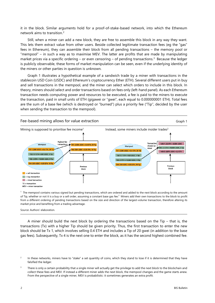it in the block. Similar arguments hold for a proof-of-stake-based network, into which the Ethereum network aims to transition.[2](#page-3-0)

Still, when a miner can add a new block, they are free to assemble this block in any way they want. This lets them extract value from other users. Beside collected legitimate transaction fees (eg the "gas" fees in Ethereum), they can assemble their block from all pending transactions – the memory pool or "mempool" – in such a way as to maximise MEV. The latter are profits that are made by manipulating market prices via a specific ordering – or even censoring – of pending transactions.<sup>3</sup> Because the ledger is publicly observable, these forms of market manipulation can be seen, even if the underlying identity of the miners or other parties in question is unknown.

Graph 1 illustrates a hypothetical example of a sandwich trade by a miner with transactions in the stablecoin USD Coin (USDC) and Ethereum's cryptocurrency Ether (ETH). Several different users put in buy and sell transactions in the mempool, and the miner can select which orders to include in this block. In theory, miners should select and order transactions based on fees only (left-hand panel). As each Ethereum transaction needs computing power and resources to be executed, a fee is paid to the miners to execute the transaction, paid in small units of ETH (gigawei or "gwei", each equal to 0.000000001 ETH). Total fees are the sum of a base fee (which is destroyed or "burned") plus a priority fee ("Tip", decided by the user when sending the transaction to the mempool).



<sup>1</sup> The mempool contains various signed but pending transactions, which are ordered and added to the next block according to the amount of Tip, whether or not it is a buy or a sell order, assuming a constant base gas fee.<sup>2</sup> Miners add their own transactions to the block to profit from a different ordering of pending transactions based on the size and direction of the largest-volume transaction, therefore altering its market price and benefiting from a trading advantage.

Source: Authors' elaboration.

A miner should build the next block by ordering the transactions based on the Tip – that is, the transactions (Tx) with a higher Tip should be given priority. Thus, the first transaction to enter the new block should be Tx 1, which involves selling 0.4 ETH and includes a Tip of 20 gwei (in addition to the base gas fees). Subsequently, Tx 4 is the next one to enter the block, as it has the second highest combined fee.

<span id="page-3-0"></span>In these networks, miners have to "stake" a set quantity of coins, which they stand to lose if it is determined that they have falsified the ledger.

<span id="page-3-1"></span><sup>&</sup>lt;sup>3</sup> There is only a certain probability that a single miner will actually get the privilege to add the next block to the blockchain and collect these fees and MEV. If instead a different miner adds the next block, the mempool changes and the game starts anew. From the perspective of a single miner, MEV is probabilistic: it sometimes generates an extra profit.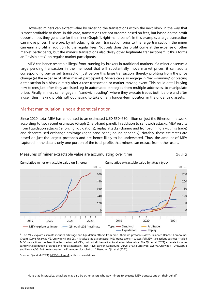However, miners can extract value by ordering the transactions within the next block in the way that is most profitable to them. In this case, transactions are not ordered based on fees, but based on the profit opportunities they generate for the miner (Graph 1, right-hand panel). In this example, a large transaction can move prices. Therefore, by introducing its own transaction prior to the large transaction, the miner can earn a profit in addition to the regular fees. Not only does this profit come at the expense of other market participants, but the miner's transactions also delay other legitimate transactions.[4](#page-4-0) It thus forms an "invisible tax" on regular market participants.

MEV can hence resemble illegal front-running by brokers in traditional markets: if a miner observes a large pending transaction in the mempool that will substantially move market prices, it can add a corresponding buy or sell transaction just before this large transaction, thereby profiting from the price change (at the expense of other market participants). Miners can also engage in "back-running" or placing a transaction in a block directly after a user transaction or market-moving event. This could entail buying new tokens just after they are listed, eg in automated strategies from multiple addresses, to manipulate prices. Finally, miners can engage in "sandwich trading", where they execute trades both before and after a user, thus making profits without having to take on any longer-term position in the underlying assets.

#### Market manipulation is not a theoretical notion

Since 2020, total MEV has amounted to an estimated USD 550–650million on just the Ethereum network, according to two recent estimates (Graph 2, left-hand panel). In addition to sandwich attacks, MEV results from liquidation attacks (ie forcing liquidations), replay attacks (cloning and front-running a victim's trade) and decentralised exchange arbitrage (right-hand panel; online appendix). Notably, these estimates are based on just the largest protocols and are hence likely to be understated. Thus, the amount of MEV captured in the data is only one portion of the total profits that miners can extract from other users.



<sup>1</sup> The MEV-explore estimate includes arbitrage and liquidation attacks from nine Ethereum protocols (Aave, Balancer, Bancor, Compound, Cream, Curve, Uniswap V2, Uniswap v3 and 0x). It is calculated as successful MEV transactions + successful MEV transactions gas fees + failed MEV transactions gas fees. It reflects extracted MEV, but not all theoretical total extractable value. The Qin et al (2021) estimate includes sandwich, liquidation, arbitrage and replay attacks in 1inch, Aave, Bancor, Compound, Curve, dYdX, Sushiswap, Swerve, UniswapV1, UniswapV2 and UniswapV3. Both refer only to the Ethereum blockchain.  $2$  Based on Qin et al (2021).

Sources: Qin et al (2021)[; MEV-Explore v1;](https://explore.flashbots.net/) authors' calculations.

<span id="page-4-0"></span>Note that, in practice, attackers may also be other actors who pay miners to execute MEV transactions on their behalf.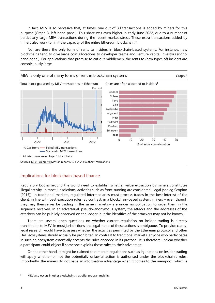In fact, MEV is so pervasive that, at times, one out of 30 transactions is added by miners for this purpose (Graph 3, left-hand panel). This share was even higher in early June 2022, due to a number of particularly large MEV transactions during the recent market stress. These extra transactions added by miners also work to limit the capacity of the entire Ethereum blockchain.<sup>[5](#page-5-0)</sup>

Nor are these the only form of rents to insiders in blockchain-based systems. For instance, new blockchains tend to give large coin allocations to developer teams and venture capital investors (righthand panel). For applications that promise to cut out middlemen, the rents to (new types of) insiders are conspicuously large.



#### Implications for blockchain-based finance

Regulatory bodies around the world need to establish whether value extraction by miners constitutes illegal activity. In most jurisdictions, activities such as front-running are considered illegal (see eg Scopino (2015)). In traditional markets, regulated intermediaries must process trades in the best interest of the client, in line with best execution rules. By contrast, in a blockchain-based system, miners – even though they may themselves be trading in the same markets – are under no obligation to order them in the sequence received. In an adversarial, pseudo-anonymous system, the attacks and the addresses of the attackers can be publicly observed on the ledger, but the identities of the attackers may not be known.

There are several open questions on whether current regulation on insider trading is directly transferable to MEV. In most jurisdictions, the legal status of these actions is ambiguous. To provide clarity, legal research would have to assess whether the activities permitted by the Ethereum protocol and other DeFi ecosystems should actually be prohibited. In contrast to traditional markets, anyone who participates in such an ecosystem essentially accepts the rules encoded in its protocol. It is therefore unclear whether a participant could object if someone exploits those rules to their advantage.

On the other hand, it might be claimed that market regulations such as injunctions on insider trading will apply whether or not the potentially unlawful action is authorised under the blockchain's rules. Importantly, the miners do not have an information advantage when it comes to the mempool (which is

<span id="page-5-0"></span><sup>&</sup>lt;sup>5</sup> MEV also occurs in other blockchains that offer programmability.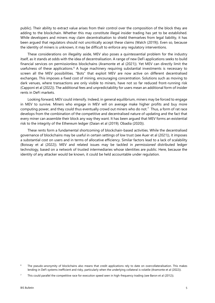public). Their ability to extract value arises from their control over the composition of the block they are adding to the blockchain. Whether this may constitute illegal insider trading has yet to be established. While developers and miners may claim decentralisation to shield themselves from legal liability, it has been argued that regulators should not uncritically accept these claims (Walch (2019)). Even so, because the identity of miners is unknown, it may be difficult to enforce any regulatory interventions.

These considerations on illegality aside, MEV also poses a quintessential problem for the industry itself, as it stands at odds with the idea of decentralisation. A range of new DeFi applications seeks to build financial services on permissionless blockchains (Aramonte et al (2021)). Yet MEV can directly limit the usefulness of these applications.<sup>[6](#page-6-0)</sup> A huge machinery requiring substantial investments is necessary to screen all the MEV possibilities. "Bots" that exploit MEV are now active on different decentralised exchanges. This imposes a fixed cost of mining, encouraging concentration. Solutions such as moving to dark venues, where transactions are only visible to miners, have not so far reduced front-running risk (Capponi et al (2022)). The additional fees and unpredictability for users mean an additional form of insider rents in DeFi markets.

Looking forward, MEV could intensify. Indeed, in general equilibrium, miners may be forced to engage in MEV to survive. Miners who engage in MEV will on average make higher profits and buy more computing power, and they could thus eventually crowd out miners who do not.<sup>7</sup> Thus, a form of rat race develops from the combination of the competitive and decentralised nature of updating and the fact that every miner can assemble their block any way they want. It has been argued that MEV forms an existential risk to the integrity of the Ethereum ledger (Daian et al (2019); Obadia (2020)).

These rents form a fundamental shortcoming of blockchain-based activities. While the decentralised governance of blockchains may be useful in certain settings of low trust (see Auer et al (2021)), it imposes a substantial cost on users and in terms of allocative efficiency. Similar factors lead to a lack of scalability (Boissay et al (2022)). MEV and related issues may be tackled in *permissioned* distributed ledger technology, based on a network of trusted intermediaries whose identities are public. Here, because the identity of any attacker would be known, it could be held accountable under regulation.

<span id="page-6-0"></span> $6$  The pseudo-anonymity of blockchains also means that credit applications rely to date on overcollateralisation. This makes lending in DeFi systems inefficient and risky, particularly when the underlying collateral is volatile (Aramonte et al (2022)).

<span id="page-6-1"></span>This could parallel the competitive race for execution speed seen in high-frequency trading (see Baron et al (2012)).